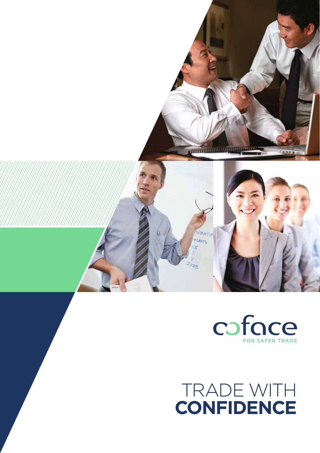



# TRADE V **confidence**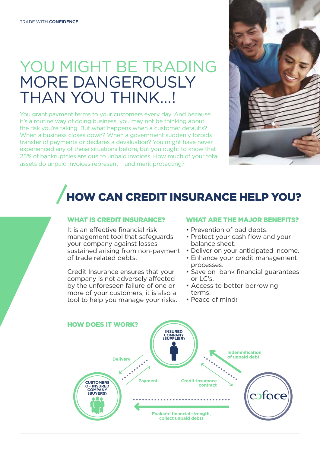## YOU MIGHT BE TRADING MORE DANGEROUSLY THAN YOU THINK…!

You grant payment terms to your customers every day. And because it's a routine way of doing business, you may not be thinking about the risk you're taking. But what happens when a customer defaults? When a business closes down? When a government suddenly forbids transfer of payments or declares a devaluation? You might have never experienced any of these situations before, but you ought to know that 25% of bankruptcies are due to unpaid invoices. How much of your total assets do unpaid invoices represent – and merit protecting?



# HOW CAN CREDIT INSURANCE HELP YOU?

### WHAT IS CREDIT INSURANCE?

It is an effective financial risk management tool that safeguards your company against losses sustained arising from non-payment of trade related debts.

Credit Insurance ensures that your company is not adversely affected by the unforeseen failure of one or more of your customers; it is also a tool to help you manage your risks.

### WHAT ARE THE MAJOR BENEFITS?

- Prevention of bad debts.
- Protect your cash flow and your balance sheet.
- Deliver on your anticipated income.
- Enhance your credit management processes.
- Save on bank financial guarantees or LC's.
- Access to better borrowing terms.
- Peace of mind!

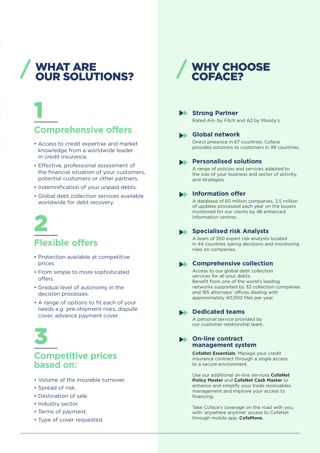## WHAT ARE OUR SOLUTIONS?

## 1 **Comprehensive offers**

- Access to credit expertise and market knowledge from a worldwide leader in credit insurance.
- Effective, professional assessment of the financial situation of your customers, potential customers or other partners.
- Indemnification of your unpaid debts.
- Global debt collection services available worldwide for debt recovery.



### **Flexible offers**

- Protection available at competitive prices.
- From simple to more sophisticated offers.
- Gradual level of autonomy in the decision processes.
- A range of options to fit each of your needs e.g. pre-shipment risks, dispute cover, advance payment cover.



### **Competitive prices based on:**

- Volume of the insurable turnover.
- Spread of risk.
- Destination of sale.
- Industry sector.
- Terms of payment.
- Type of cover requested.

## WHY CHOOSE COFACE?



### **Extraord Strong Partner**

Rated AA- by Fitch and A2 by Moody's.

### **Global network**

 Direct presence in 67 countries, Coface provides solutions to customers in 99 countries.

### **Personalised solutions**

A range of policies and services adapted to the size of your business and sector of activity, and strategies.

### **Information offer**

 A database of 65 million companies, 2.5 million of updates processed each year on the buyers monitored for our clients by 46 enhanced information centres.

### **Specialised risk Analysts**

A team of 350 expert risk analysts located in 44 countries taking decisions and monitoring risks on companies.

### **Comprehensive collection**

Access to our global debt collection services for all your debts. Benefit from one of the world's leading networks supported by 32 collection companies and 185 attorneys' offices dealing with approximately 40,000 files per year.

#### **Dedicated teams**

A personal service provided by our customer relationship team.

#### **On-line contract management system**

**CofaNet Essentials**: Manage your credit insurance contract through a single access to a secure environment.

Use our additional on-line services **CofaNet Policy Master** and **CofaNet Cash Master** to enhance and simplify your trade receivables management and improve your access to financing.

Take Coface's coverage on the road with you, with 'anywhere anytime' access to CofaNet through mobile app, **CofaMove.**